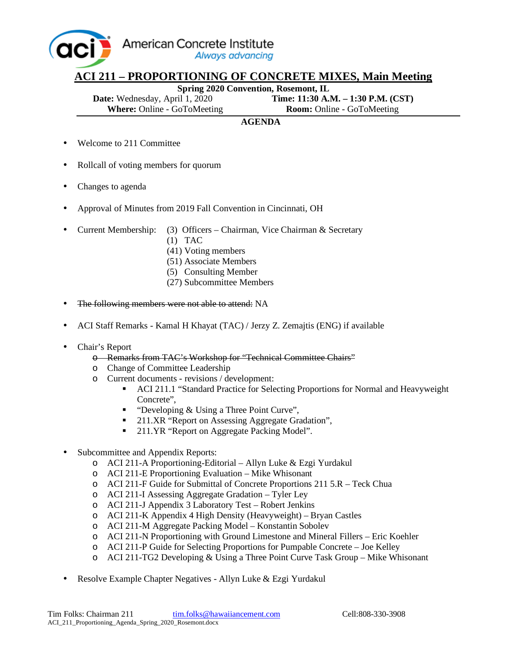

## **ACI 211 – PROPORTIONING OF CONCRETE MIXES, Main Meeting**

**Spring 2020 Convention, Rosemont, IL** 

**Date:** Wednesday, April 1, 2020 **Time: 11:30 A.M. – 1:30 P.M. (CST)** 

**Where:** Online - GoToMeeting **Room:** Online - GoToMeeting

## **AGENDA**

- Welcome to 211 Committee
- Rollcall of voting members for quorum
- Changes to agenda
- Approval of Minutes from 2019 Fall Convention in Cincinnati, OH
- Current Membership: (3) Officers Chairman, Vice Chairman & Secretary
	- (1) TAC
	- (41) Voting members
	- (51) Associate Members
	- (5) Consulting Member
	- (27) Subcommittee Members
- The following members were not able to attend: NA
- ACI Staff Remarks Kamal H Khayat (TAC) / Jerzy Z. Zemajtis (ENG) if available
- Chair's Report
	- o Remarks from TAC's Workshop for "Technical Committee Chairs"
	- o Change of Committee Leadership
	- o Current documents revisions / development:
		- ACI 211.1 "Standard Practice for Selecting Proportions for Normal and Heavyweight Concrete",
		- " "Developing & Using a Three Point Curve",
		- <sup>211.XR</sup> "Report on Assessing Aggregate Gradation",
		- 211.YR "Report on Aggregate Packing Model".
- Subcommittee and Appendix Reports:
	- o ACI 211‐A Proportioning‐Editorial Allyn Luke & Ezgi Yurdakul
	- o ACI 211‐E Proportioning Evaluation Mike Whisonant
	- o ACI 211-F Guide for Submittal of Concrete Proportions 211 5.R Teck Chua
	- o ACI 211‐I Assessing Aggregate Gradation Tyler Ley
	- o ACI 211-J Appendix 3 Laboratory Test Robert Jenkins
	- o ACI 211-K Appendix 4 High Density (Heavyweight) Bryan Castles
	- o ACI 211‐M Aggregate Packing Model Konstantin Sobolev
	- o ACI 211‐N Proportioning with Ground Limestone and Mineral Fillers Eric Koehler
	- o ACI 211‐P Guide for Selecting Proportions for Pumpable Concrete Joe Kelley
	- o ACI 211-TG2 Developing & Using a Three Point Curve Task Group Mike Whisonant
- Resolve Example Chapter Negatives Allyn Luke & Ezgi Yurdakul